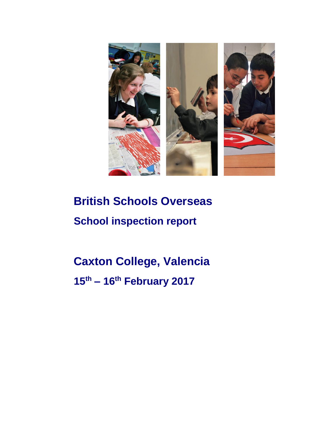

# **British Schools Overseas School inspection report**

## **Caxton College, Valencia 15th – 16th February 2017**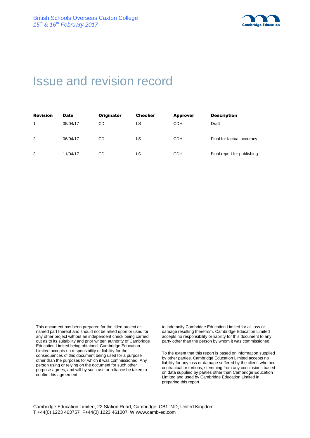

## Issue and revision record

| <b>Revision</b> | <b>Date</b> | <b>Originator</b> | <b>Checker</b> | <b>Approver</b> | <b>Description</b>          |
|-----------------|-------------|-------------------|----------------|-----------------|-----------------------------|
| 1               | 05/04/17    | CD                | LS             | CDH             | Draft                       |
| 2               | 06/04/17    | CD                | LS             | <b>CDH</b>      | Final for factual accuracy  |
| 3               | 11/04/17    | CD                | LS             | <b>CDH</b>      | Final report for publishing |

This document has been prepared for the titled project or named part thereof and should not be relied upon or used for any other project without an independent check being carried out as to its suitability and prior written authority of Cambridge Education Limited being obtained. Cambridge Education Limited accepts no responsibility or liability for the consequences of this document being used for a purpose other than the purposes for which it was commissioned. Any person using or relying on the document for such other purpose agrees, and will by such use or reliance be taken to confirm his agreement

to indemnify Cambridge Education Limited for all loss or damage resulting therefrom. Cambridge Education Limited accepts no responsibility or liability for this document to any party other than the person by whom it was commissioned.

To the extent that this report is based on information supplied by other parties, Cambridge Education Limited accepts no liability for any loss or damage suffered by the client, whether contractual or tortious, stemming from any conclusions based on data supplied by parties other than Cambridge Education Limited and used by Cambridge Education Limited in preparing this report.

Cambridge Education Limited, 22 Station Road, Cambridge, CB1 2JD, United Kingdom T +44(0) 1223 463757 F+44(0) 1223 461007 W www.camb-ed.com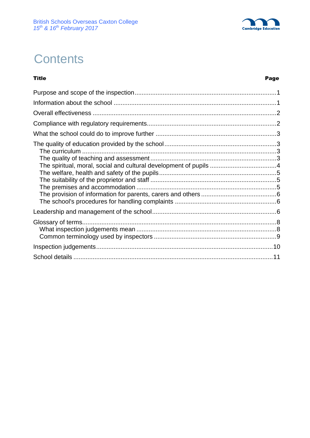

## **Contents**

#### Title Page

| The spiritual, moral, social and cultural development of pupils 4 |  |
|-------------------------------------------------------------------|--|
|                                                                   |  |
|                                                                   |  |
|                                                                   |  |
|                                                                   |  |
|                                                                   |  |
|                                                                   |  |
|                                                                   |  |
|                                                                   |  |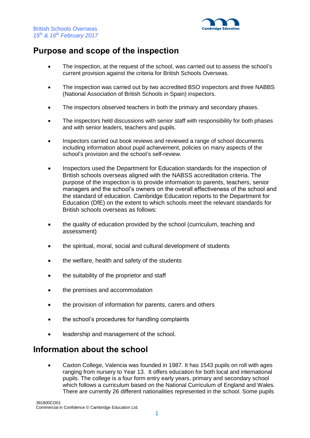

## **Purpose and scope of the inspection**

- The inspection, at the request of the school, was carried out to assess the school's current provision against the criteria for British Schools Overseas.
- The inspection was carried out by two accredited BSO inspectors and three NABBS (National Association of British Schools in Spain) inspectors.
- The inspectors observed teachers in both the primary and secondary phases.
- The inspectors held discussions with senior staff with responsibility for both phases and with senior leaders, teachers and pupils.
- Inspectors carried out book reviews and reviewed a range of school documents including information about pupil achievement, policies on many aspects of the school's provision and the school's self-review.
- Inspectors used the Department for Education standards for the inspection of British schools overseas aligned with the NABSS accreditation criteria. The purpose of the inspection is to provide information to parents, teachers, senior managers and the school's owners on the overall effectiveness of the school and the standard of education. Cambridge Education reports to the Department for Education (DfE) on the extent to which schools meet the relevant standards for British schools overseas as follows:
- the quality of education provided by the school (curriculum, teaching and assessment)
- the spiritual, moral, social and cultural development of students
- the welfare, health and safety of the students
- the suitability of the proprietor and staff
- the premises and accommodation
- the provision of information for parents, carers and others
- the school's procedures for handling complaints
- leadership and management of the school.

### **Information about the school**

 Caxton College, Valencia was founded in 1987. It has 1543 pupils on roll with ages ranging from nursery to Year 13. It offers education for both local and international pupils. The college is a four form entry early years, primary and secondary school which follows a curriculum based on the National Curriculum of England and Wales. There are currently 26 different nationalities represented in the school. Some pupils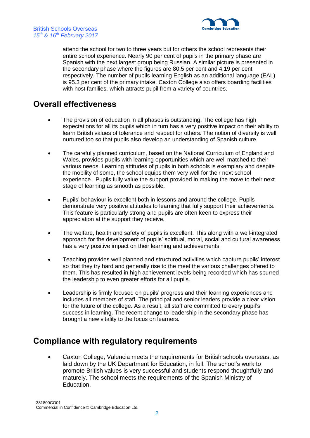

attend the school for two to three years but for others the school represents their entire school experience. Nearly 90 per cent of pupils in the primary phase are Spanish with the next largest group being Russian. A similar picture is presented in the secondary phase where the figures are 80.5 per cent and 4.19 per cent respectively. The number of pupils learning English as an additional language (EAL) is 95.3 per cent of the primary intake. Caxton College also offers boarding facilities with host families, which attracts pupil from a variety of countries.

## **Overall effectiveness**

- The provision of education in all phases is outstanding. The college has high expectations for all its pupils which in turn has a very positive impact on their ability to learn British values of tolerance and respect for others. The notion of diversity is well nurtured too so that pupils also develop an understanding of Spanish culture.
- The carefully planned curriculum, based on the National Curriculum of England and Wales, provides pupils with learning opportunities which are well matched to their various needs. Learning attitudes of pupils in both schools is exemplary and despite the mobility of some, the school equips them very well for their next school experience. Pupils fully value the support provided in making the move to their next stage of learning as smooth as possible.
- Pupils' behaviour is excellent both in lessons and around the college. Pupils demonstrate very positive attitudes to learning that fully support their achievements. This feature is particularly strong and pupils are often keen to express their appreciation at the support they receive.
- The welfare, health and safety of pupils is excellent. This along with a well-integrated approach for the development of pupils' spiritual, moral, social and cultural awareness has a very positive impact on their learning and achievements.
- Teaching provides well planned and structured activities which capture pupils' interest so that they try hard and generally rise to the meet the various challenges offered to them. This has resulted in high achievement levels being recorded which has spurred the leadership to even greater efforts for all pupils.
- Leadership is firmly focused on pupils' progress and their learning experiences and includes all members of staff. The principal and senior leaders provide a clear vision for the future of the college. As a result, all staff are committed to every pupil's success in learning. The recent change to leadership in the secondary phase has brought a new vitality to the focus on learners.

### **Compliance with regulatory requirements**

 Caxton College, Valencia meets the requirements for British schools overseas, as laid down by the UK Department for Education, in full. The school's work to promote British values is very successful and students respond thoughtfully and maturely. The school meets the requirements of the Spanish Ministry of Education.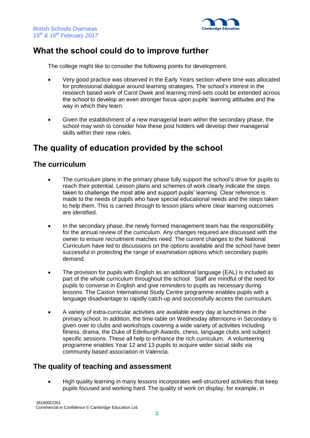

## **What the school could do to improve further**

The college might like to consider the following points for development.

- Very good practice was observed in the Early Years section where time was allocated for professional dialogue around learning strategies. The school's interest in the research based work of Carol Dwek and learning mind-sets could be extended across the school to develop an even stronger focus upon pupils' learning attitudes and the way in which they learn.
- Given the establishment of a new managerial team within the secondary phase, the school may wish to consider how these post holders will develop their managerial skills within their new roles.

## **The quality of education provided by the school**

#### **The curriculum**

- The curriculum plans in the primary phase fully support the school's drive for pupils to reach their potential. Lesson plans and schemes of work clearly indicate the steps taken to challenge the most able and support pupils' learning. Clear reference is made to the needs of pupils who have special educational needs and the steps taken to help them. This is carried through to lesson plans where clear learning outcomes are identified.
- In the secondary phase, the newly formed management team has the responsibility for the annual review of the curriculum. Any changes required are discussed with the owner to ensure recruitment matches need. The current changes to the National Curriculum have led to discussions on the options available and the school have been successful in protecting the range of examination options which secondary pupils demand.
- The provision for pupils with English as an additional language (EAL) is included as part of the whole curriculum throughout the school. Staff are mindful of the need for pupils to converse in English and give reminders to pupils as necessary during lessons. The Caxton International Study Centre programme enables pupils with a language disadvantage to rapidly catch-up and successfully access the curriculum.
- A variety of extra-curricular activities are available every day at lunchtimes in the primary school. In addition, the time-table on Wednesday afternoons in Secondary is given over to clubs and workshops covering a wide variety of activities including fitness, drama, the Duke of Edinburgh Awards, chess, language clubs and subject specific sessions. These all help to enhance the rich curriculum. A volunteering programme enables Year 12 and 13 pupils to acquire wider social skills via community based association in Valencia.

#### **The quality of teaching and assessment**

 High quality learning in many lessons incorporates well-structured activities that keep pupils focused and working hard. The quality of work on display, for example, in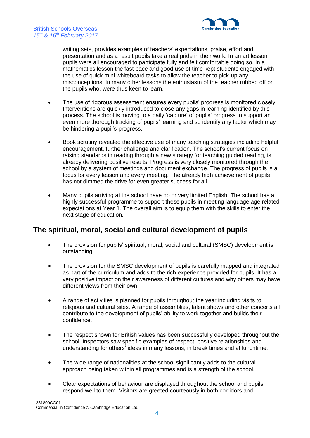



*15th & 16th February 2017*

British Schools Overseas

writing sets, provides examples of teachers' expectations, praise, effort and presentation and as a result pupils take a real pride in their work. In an art lesson pupils were all encouraged to participate fully and felt comfortable doing so. In a mathematics lesson the fast pace and good use of time kept students engaged with the use of quick mini whiteboard tasks to allow the teacher to pick-up any misconceptions. In many other lessons the enthusiasm of the teacher rubbed off on the pupils who, were thus keen to learn.

- The use of rigorous assessment ensures every pupils' progress is monitored closely. Interventions are quickly introduced to close any gaps in learning identified by this process. The school is moving to a daily 'capture' of pupils' progress to support an even more thorough tracking of pupils' learning and so identify any factor which may be hindering a pupil's progress.
- Book scrutiny revealed the effective use of many teaching strategies including helpful encouragement, further challenge and clarification. The school's current focus on raising standards in reading through a new strategy for teaching guided reading, is already delivering positive results. Progress is very closely monitored through the school by a system of meetings and document exchange. The progress of pupils is a focus for every lesson and every meeting. The already high achievement of pupils has not dimmed the drive for even greater success for all.
- Many pupils arriving at the school have no or very limited English. The school has a highly successful programme to support these pupils in meeting language age related expectations at Year 1. The overall aim is to equip them with the skills to enter the next stage of education.

#### **The spiritual, moral, social and cultural development of pupils**

- The provision for pupils' spiritual, moral, social and cultural (SMSC) development is outstanding.
- The provision for the SMSC development of pupils is carefully mapped and integrated as part of the curriculum and adds to the rich experience provided for pupils. It has a very positive impact on their awareness of different cultures and why others may have different views from their own.
- A range of activities is planned for pupils throughout the year including visits to religious and cultural sites. A range of assemblies, talent shows and other concerts all contribute to the development of pupils' ability to work together and builds their confidence.
- The respect shown for British values has been successfully developed throughout the school. Inspectors saw specific examples of respect, positive relationships and understanding for others' ideas in many lessons, in break times and at lunchtime.
- The wide range of nationalities at the school significantly adds to the cultural approach being taken within all programmes and is a strength of the school.
- Clear expectations of behaviour are displayed throughout the school and pupils respond well to them. Visitors are greeted courteously in both corridors and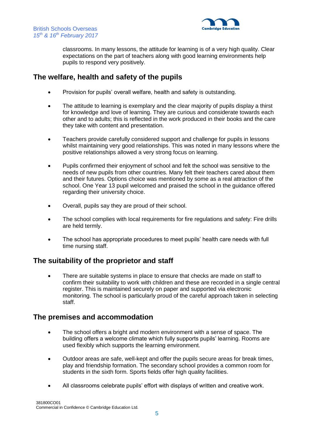

classrooms. In many lessons, the attitude for learning is of a very high quality. Clear expectations on the part of teachers along with good learning environments help pupils to respond very positively.

#### **The welfare, health and safety of the pupils**

- Provision for pupils' overall welfare, health and safety is outstanding.
- The attitude to learning is exemplary and the clear majority of pupils display a thirst for knowledge and love of learning. They are curious and considerate towards each other and to adults; this is reflected in the work produced in their books and the care they take with content and presentation.
- Teachers provide carefully considered support and challenge for pupils in lessons whilst maintaining very good relationships. This was noted in many lessons where the positive relationships allowed a very strong focus on learning.
- Pupils confirmed their enjoyment of school and felt the school was sensitive to the needs of new pupils from other countries. Many felt their teachers cared about them and their futures. Options choice was mentioned by some as a real attraction of the school. One Year 13 pupil welcomed and praised the school in the guidance offered regarding their university choice.
- Overall, pupils say they are proud of their school.
- The school complies with local requirements for fire regulations and safety: Fire drills are held termly.
- The school has appropriate procedures to meet pupils' health care needs with full time nursing staff.

#### **The suitability of the proprietor and staff**

 There are suitable systems in place to ensure that checks are made on staff to confirm their suitability to work with children and these are recorded in a single central register. This is maintained securely on paper and supported via electronic monitoring. The school is particularly proud of the careful approach taken in selecting staff.

#### **The premises and accommodation**

- The school offers a bright and modern environment with a sense of space. The building offers a welcome climate which fully supports pupils' learning. Rooms are used flexibly which supports the learning environment.
- Outdoor areas are safe, well-kept and offer the pupils secure areas for break times, play and friendship formation. The secondary school provides a common room for students in the sixth form. Sports fields offer high quality facilities.
- All classrooms celebrate pupils' effort with displays of written and creative work.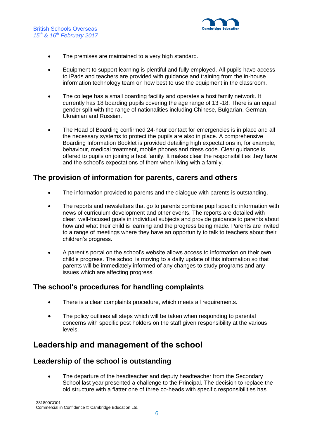

- The premises are maintained to a very high standard.
- Equipment to support learning is plentiful and fully employed. All pupils have access to iPads and teachers are provided with guidance and training from the in-house information technology team on how best to use the equipment in the classroom.
- The college has a small boarding facility and operates a host family network. It currently has 18 boarding pupils covering the age range of 13 -18. There is an equal gender split with the range of nationalities including Chinese, Bulgarian, German, Ukrainian and Russian.
- The Head of Boarding confirmed 24-hour contact for emergencies is in place and all the necessary systems to protect the pupils are also in place. A comprehensive Boarding Information Booklet is provided detailing high expectations in, for example, behaviour, medical treatment, mobile phones and dress code. Clear guidance is offered to pupils on joining a host family. It makes clear the responsibilities they have and the school's expectations of them when living with a family.

#### **The provision of information for parents, carers and others**

- The information provided to parents and the dialogue with parents is outstanding.
- The reports and newsletters that go to parents combine pupil specific information with news of curriculum development and other events. The reports are detailed with clear, well-focused goals in individual subjects and provide guidance to parents about how and what their child is learning and the progress being made. Parents are invited to a range of meetings where they have an opportunity to talk to teachers about their children's progress.
- A parent's portal on the school's website allows access to information on their own child's progress. The school is moving to a daily update of this information so that parents will be immediately informed of any changes to study programs and any issues which are affecting progress.

#### **The school's procedures for handling complaints**

- There is a clear complaints procedure, which meets all requirements.
- The policy outlines all steps which will be taken when responding to parental concerns with specific post holders on the staff given responsibility at the various levels.

### **Leadership and management of the school**

#### **Leadership of the school is outstanding**

• The departure of the headteacher and deputy headteacher from the Secondary School last year presented a challenge to the Principal. The decision to replace the old structure with a flatter one of three co-heads with specific responsibilities has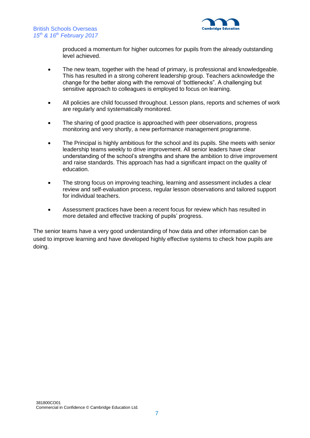

produced a momentum for higher outcomes for pupils from the already outstanding level achieved.

- The new team, together with the head of primary, is professional and knowledgeable. This has resulted in a strong coherent leadership group. Teachers acknowledge the change for the better along with the removal of 'bottlenecks". A challenging but sensitive approach to colleagues is employed to focus on learning.
- All policies are child focussed throughout. Lesson plans, reports and schemes of work are regularly and systematically monitored.
- The sharing of good practice is approached with peer observations, progress monitoring and very shortly, a new performance management programme.
- The Principal is highly ambitious for the school and its pupils. She meets with senior leadership teams weekly to drive improvement. All senior leaders have clear understanding of the school's strengths and share the ambition to drive improvement and raise standards. This approach has had a significant impact on the quality of education.
- The strong focus on improving teaching, learning and assessment includes a clear review and self-evaluation process, regular lesson observations and tailored support for individual teachers.
- Assessment practices have been a recent focus for review which has resulted in more detailed and effective tracking of pupils' progress.

The senior teams have a very good understanding of how data and other information can be used to improve learning and have developed highly effective systems to check how pupils are doing.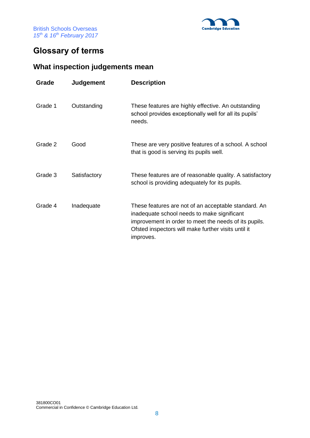

## **Glossary of terms**

## **What inspection judgements mean**

| Grade   | <b>Judgement</b> | <b>Description</b>                                                                                                                                                                                                               |
|---------|------------------|----------------------------------------------------------------------------------------------------------------------------------------------------------------------------------------------------------------------------------|
| Grade 1 | Outstanding      | These features are highly effective. An outstanding<br>school provides exceptionally well for all its pupils'<br>needs.                                                                                                          |
| Grade 2 | Good             | These are very positive features of a school. A school<br>that is good is serving its pupils well.                                                                                                                               |
| Grade 3 | Satisfactory     | These features are of reasonable quality. A satisfactory<br>school is providing adequately for its pupils.                                                                                                                       |
| Grade 4 | Inadequate       | These features are not of an acceptable standard. An<br>inadequate school needs to make significant<br>improvement in order to meet the needs of its pupils.<br>Ofsted inspectors will make further visits until it<br>improves. |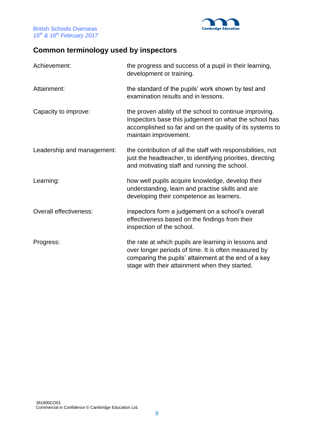

## **Common terminology used by inspectors**

| Achievement:               | the progress and success of a pupil in their learning,<br>development or training.                                                                                                                                     |
|----------------------------|------------------------------------------------------------------------------------------------------------------------------------------------------------------------------------------------------------------------|
| Attainment:                | the standard of the pupils' work shown by test and<br>examination results and in lessons.                                                                                                                              |
| Capacity to improve:       | the proven ability of the school to continue improving.<br>Inspectors base this judgement on what the school has<br>accomplished so far and on the quality of its systems to<br>maintain improvement.                  |
| Leadership and management: | the contribution of all the staff with responsibilities, not<br>just the headteacher, to identifying priorities, directing<br>and motivating staff and running the school.                                             |
| Learning:                  | how well pupils acquire knowledge, develop their<br>understanding, learn and practise skills and are<br>developing their competence as learners.                                                                       |
| Overall effectiveness:     | inspectors form a judgement on a school's overall<br>effectiveness based on the findings from their<br>inspection of the school.                                                                                       |
| Progress:                  | the rate at which pupils are learning in lessons and<br>over longer periods of time. It is often measured by<br>comparing the pupils' attainment at the end of a key<br>stage with their attainment when they started. |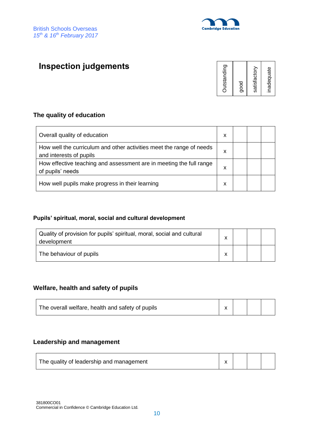

## **Inspection judgements**

| Outstanding | good | satisfactory | inadequate |
|-------------|------|--------------|------------|
|-------------|------|--------------|------------|

#### **The quality of education**

| Overall quality of education                                                                    | х |  |  |
|-------------------------------------------------------------------------------------------------|---|--|--|
| How well the curriculum and other activities meet the range of needs<br>and interests of pupils | х |  |  |
| How effective teaching and assessment are in meeting the full range<br>of pupils' needs         | х |  |  |
| How well pupils make progress in their learning                                                 | x |  |  |

#### **Pupils' spiritual, moral, social and cultural development**

| Quality of provision for pupils' spiritual, moral, social and cultural<br>development |   |  |  |
|---------------------------------------------------------------------------------------|---|--|--|
| The behaviour of pupils                                                               | ́ |  |  |

#### **Welfare, health and safety of pupils**

| $\vert x \vert$<br>The overall welfare, health and safety of pupils |
|---------------------------------------------------------------------|
|---------------------------------------------------------------------|

#### **Leadership and management**

| The quality of leadership and management |  |  |
|------------------------------------------|--|--|
|------------------------------------------|--|--|